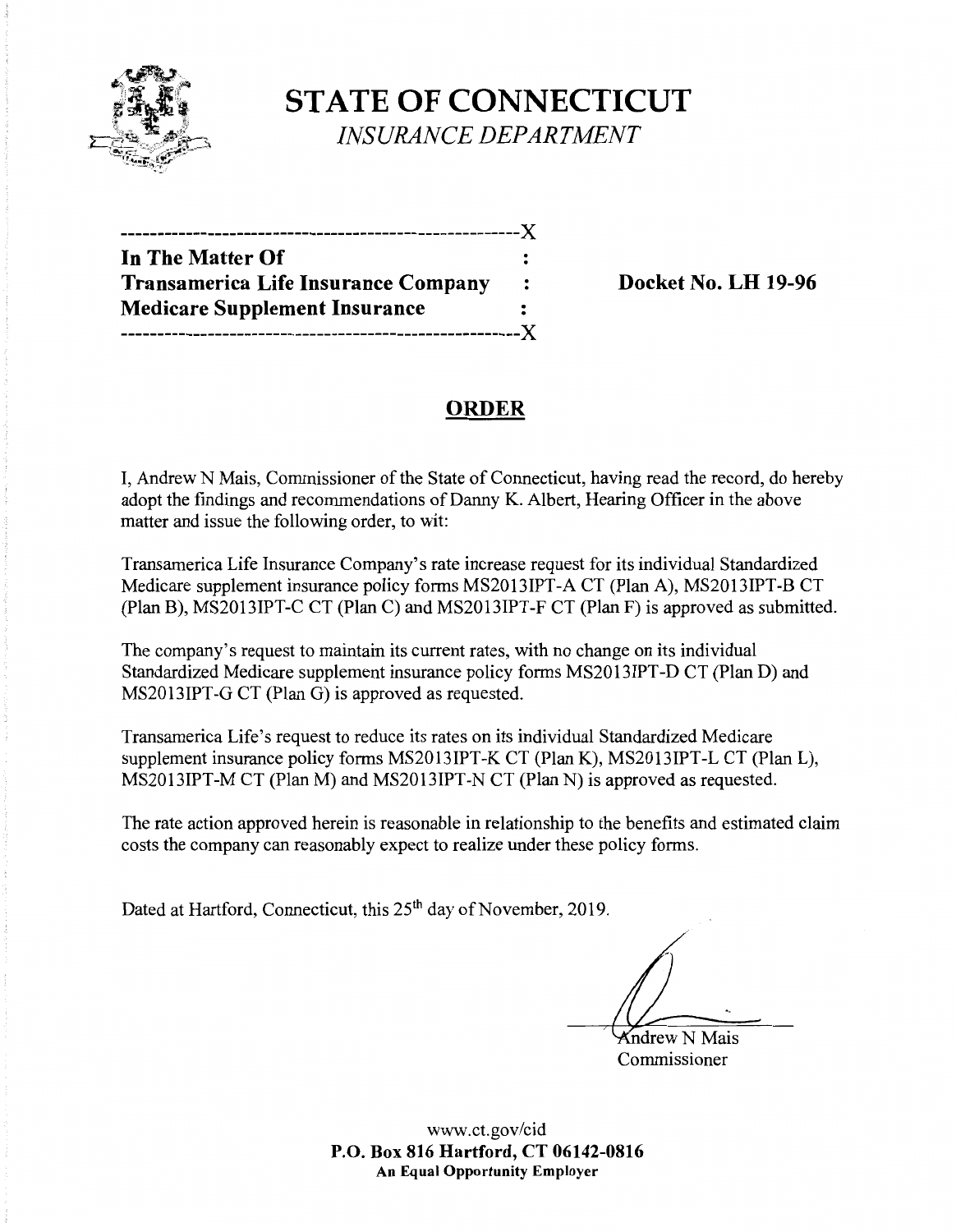

**STATE OF CONNECTICUT**  *INSURANCE DEPARTMENT* 

| In The Matter Of                           |              |
|--------------------------------------------|--------------|
| <b>Transamerica Life Insurance Company</b> | $\mathbf{r}$ |
| <b>Medicare Supplement Insurance</b>       |              |
|                                            | --- X        |

**Docket No. LH 19-96** 

## **ORDER**

I, Andrew N Mais, Commissioner of the State of Connecticut, having read the record, do hereby adopt the findings and recommendations of Danny K. Albert, Hearing Officer in the above matter and issue the following order, to wit:

Transamerica Life Insurance Company's rate increase request for its individual Standardized Medicare supplement insurance policy forms MS2013IPT-A CT (Plan A), MS2013IPT-B CT (Plan B), MS2013IPT-C CT (Plan C) and MS2013IPT-F CT (Plan F) is approved as submitted.

The company's request to maintain its current rates, with no change on its individual Standardized Medicare supplement insurance policy forms MS2013IPT-D CT (Plan D) and MS2013IPT-G CT (Plan G) is approved as requested.

Transamerica Life's request to reduce its rates on its individual Standardized Medicare supplement insurance policy forms MS2013IPT-K CT (Plan K), MS2013IPT-L CT (Plan L), MS2013IPT-M CT (Plan M) and MS2013IPT-N CT (Plan N) is approved as requested.

The rate action approved herein is reasonable in relationship to the benefits and estimated claim costs the company can reasonably expect to realize under these policy forms.

Dated at Hartford, Connecticut, this 25<sup>th</sup> day of November, 2019.

Kndrew N Mais Commissioner

www.ct.gov/cid **P.O. Box 816 Hartford, CT 06142-0816 An Equal Opportunity Employer**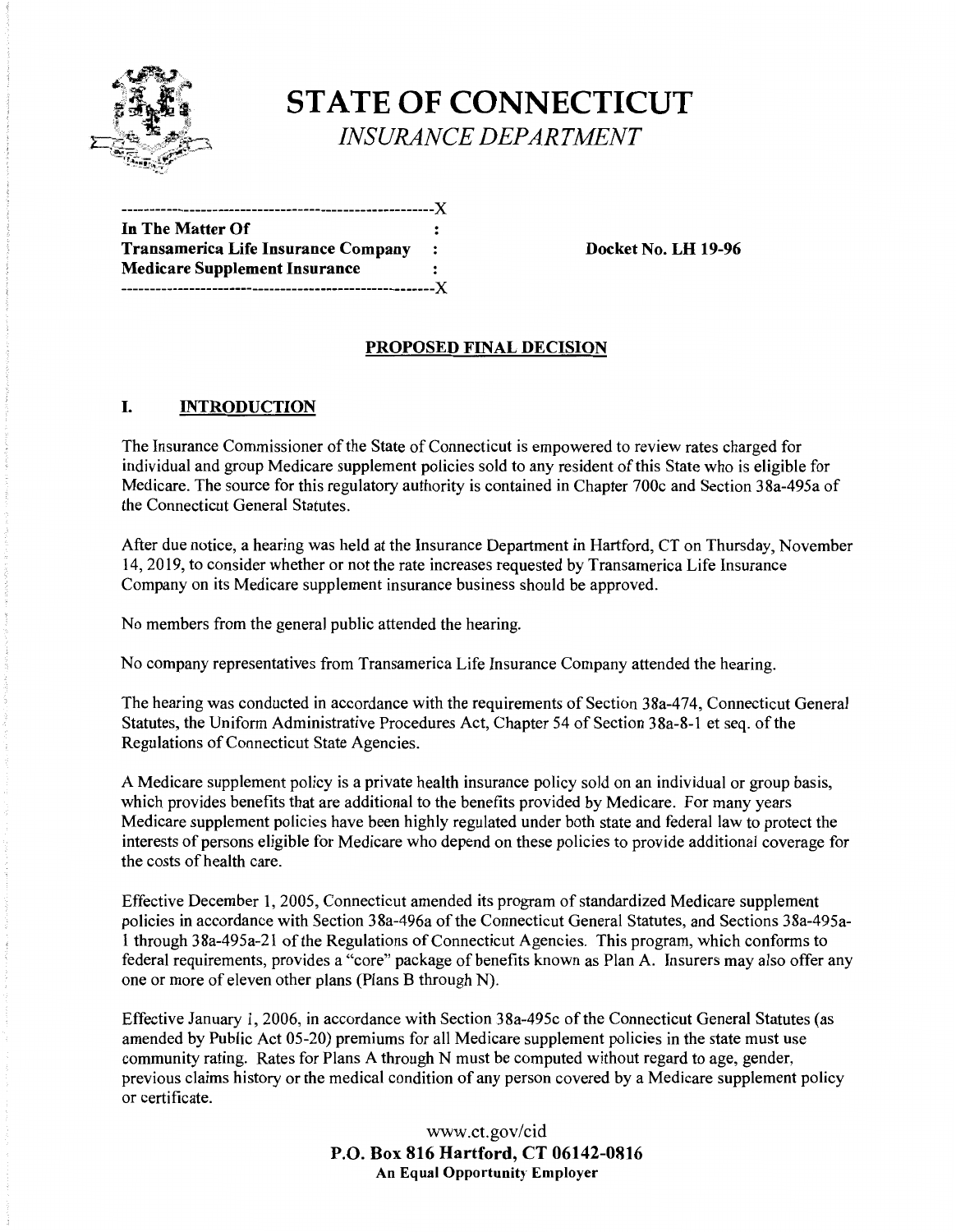

# **STATE OF CONNECTICUT**  *INSURANCE DEPARTMENT*

| --------------------------------X    |                |
|--------------------------------------|----------------|
| In The Matter Of                     |                |
| Transamerica Life Insurance Company  | $\ddot{\cdot}$ |
| <b>Medicare Supplement Insurance</b> |                |
| -------------------------------X     |                |

**Docket No. LH 19-96** 

## **PROPOSED FINAL DECISION**

## I. **INTRODUCTION**

The Insurance Commissioner of the State of Connecticut is empowered to review rates charged for individual and group Medicare supplement policies sold to any resident of this State who is eligible for Medicare. The source for this regulatory authority is contained in Chapter 700c and Section 38a-495a of the Connecticut General Statutes.

After due notice, a hearing was held at the Insurance Department in Hartford, CT on Thursday, November 14, 2019, to consider whether or not the rate increases requested by Transamerica Life Insurance Company on its Medicare supplement insurance business should be approved.

No members from the general public attended the hearing.

No company representatives from Transamerica Life Insurance Company attended the hearing.

The hearing was conducted in accordance with the requirements of Section 38a-474, Connecticut General Statutes, the Uniform Administrative Procedures Act, Chapter 54 of Section 38a-8-l et seq. of the Regulations of Connecticut State Agencies.

A Medicare supplement policy is a private health insurance policy sold on an individual or group basis, which provides benefits that are additional to the benefits provided by Medicare. For many years Medicare supplement policies have been highly regulated under both state and federal law to protect the interests of persons eligible for Medicare who depend on these policies to provide additional coverage for the costs of health care.

Effective December I, 2005, Connecticut amended its program of standardized Medicare supplement policies in accordance with Section 38a-496a of the Connecticut General Statutes, and Sections 38a-495a-1 through 38a-495a-21 of the Regulations of Connecticut Agencies. This program, which conforms to federal requirements, provides a "core" package of benefits known as Plan A. Insurers may also offer any one or more of eleven other plans (Plans B through N).

Effective January 1, 2006, in accordance with Section 38a-495c of the Connecticut General Statutes (as amended by Public Act 05-20) premiums for all Medicare supplement policies in the state must use community rating. Rates for Plans A through N must be computed without regard to age, gender, previous claims history or the medical condition of any person covered by a Medicare supplement policy or certificate.

> www.ct.gov/cid **P.O. Box 816 Hartford, CT 06142-0816 An Equal Opportunity Employer**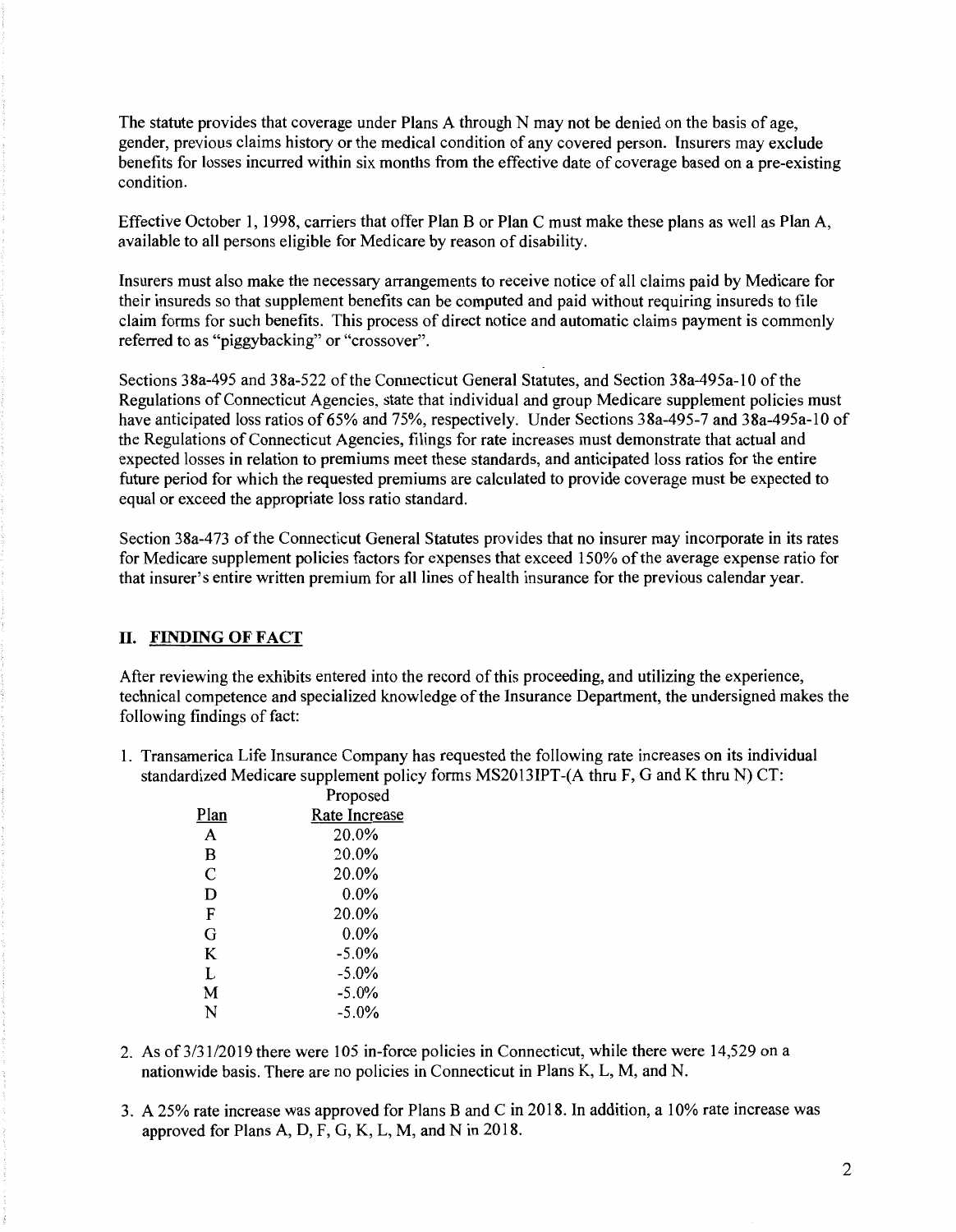The statute provides that coverage under Plans A through N may not be denied on the basis of age, gender, previous claims history or the medical condition of any covered person. Insurers may exclude benefits for losses incurred within six months from the effective date of coverage based on a pre-existing condition.

Effective October 1, 1998, carriers that offer Plan B or Plan C must make these plans as well as Plan A, available to all persons eligible for Medicare by reason of disability.

Insurers must also make the necessary arrangements to receive notice of all claims paid by Medicare for their insureds so that supplement benefits can be computed and paid without requiring insureds to file claim forms for such benefits. This process of direct notice and automatic claims payment is commonly referred to as "piggybacking" or "crossover".

Sections 38a-495 and 38a-522 of the Connecticut General Statutes, and Section 38a-495a-10 of the Regulations of Connecticut Agencies, state that individual and group Medicare supplement policies must have anticipated loss ratios of 65% and 75%, respectively. Under Sections 38a-495-7 and 38a-495a-10 of the Regulations of Connecticut Agencies, filings for rate increases must demonstrate that actual and expected losses in relation to premiums meet these standards, and anticipated loss ratios for the entire future period for which the requested premiums are calculated to provide coverage must be expected to equal or exceed the appropriate loss ratio standard.

Section 38a-473 of the Connecticut General Statutes provides that no insurer may incorporate in its rates for Medicare supplement policies factors for expenses that exceed 150% of the average expense ratio for that insurer's entire written premium for all lines of health insurance for the previous calendar year.

#### II. **FINDING OF FACT**

After reviewing the exhibits entered into the record of this proceeding, and utilizing the experience, technical competence and specialized knowledge of the Insurance Department, the undersigned makes the following findings of fact:

1. Transamerica Life Insurance Company has requested the following rate increases on its individual standardized Medicare supplement policy forms MS2013IPT-(A thru F, G and K thru N) CT:

| Proposed      |
|---------------|
| Rate Increase |
| 20.0%         |
| 20.0%         |
| 20.0%         |
| $0.0\%$       |
| 20.0%         |
| $0.0\%$       |
| $-5.0%$       |
| $-5.0\%$      |
| $-5.0%$       |
| $-5.0\%$      |
|               |

- 2. As of 3/31/2019 there were 105 in-force policies in Connecticut, while there were 14,529 on a nationwide basis. There are no policies in Connecticut in Plans K, L, M, and N.
- 3. A 25% rate increase was approved for Plans Band C in 2018. In addition, a 10% rate increase was approved for Plans A, D, F, G, K, L, M, and N in 2018.